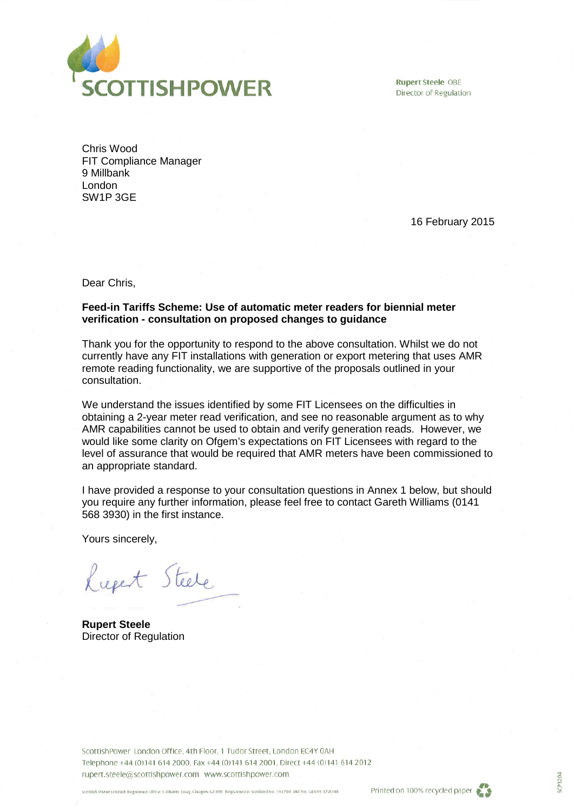

**Rupert Steele OBE** Director of Regulation

Chris Wood FIT Compliance Manager 9 Millbank London SW1P 3GE

16 February 2015

Dear Chris,

### **Feed-in Tariffs Scheme: Use of automatic meter readers for biennial meter verification - consultation on proposed changes to guidance**

Thank you for the opportunity to respond to the above consultation. Whilst we do not currently have any FIT installations with generation or export metering that uses AMR remote reading functionality, we are supportive of the proposals outlined in your consultation.

We understand the issues identified by some FIT Licensees on the difficulties in obtaining a 2-year meter read verification, and see no reasonable argument as to why AMR capabilities cannot be used to obtain and verify generation reads. However, we would like some clarity on Ofgem's expectations on FIT Licensees with regard to the level of assurance that would be required that AMR meters have been commissioned to an appropriate standard.

I have provided a response to your consultation questions in Annex 1 below, but should you require any further information, please feel free to contact Gareth Williams (0141 568 3930) in the first instance.

Yours sincerely,

Lucet Steele

**Rupert Steele** Director of Regulation

ScottishPower London Office, 4th Floor, 1 Tudor Street, London EC4Y 0AH Telephone +44 (0)141 614 2000, Fax +44 (0)141 614 2001, Direct +44 (0)141 614 2012 rupert.steele@scottishpower.com www.scottishpower.com



GP3204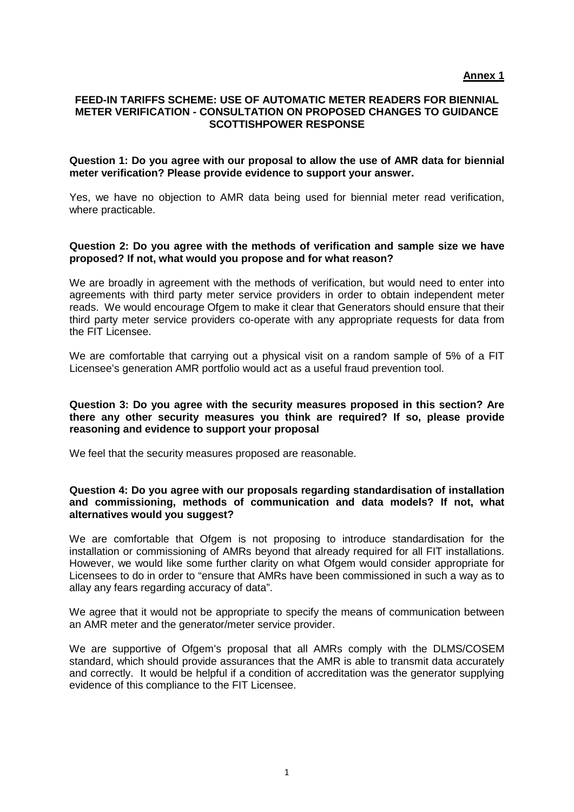## **FEED-IN TARIFFS SCHEME: USE OF AUTOMATIC METER READERS FOR BIENNIAL METER VERIFICATION - CONSULTATION ON PROPOSED CHANGES TO GUIDANCE SCOTTISHPOWER RESPONSE**

#### **Question 1: Do you agree with our proposal to allow the use of AMR data for biennial meter verification? Please provide evidence to support your answer.**

Yes, we have no objection to AMR data being used for biennial meter read verification, where practicable.

### **Question 2: Do you agree with the methods of verification and sample size we have proposed? If not, what would you propose and for what reason?**

We are broadly in agreement with the methods of verification, but would need to enter into agreements with third party meter service providers in order to obtain independent meter reads. We would encourage Ofgem to make it clear that Generators should ensure that their third party meter service providers co-operate with any appropriate requests for data from the FIT Licensee.

We are comfortable that carrying out a physical visit on a random sample of 5% of a FIT Licensee's generation AMR portfolio would act as a useful fraud prevention tool.

### **Question 3: Do you agree with the security measures proposed in this section? Are there any other security measures you think are required? If so, please provide reasoning and evidence to support your proposal**

We feel that the security measures proposed are reasonable.

### **Question 4: Do you agree with our proposals regarding standardisation of installation and commissioning, methods of communication and data models? If not, what alternatives would you suggest?**

We are comfortable that Ofgem is not proposing to introduce standardisation for the installation or commissioning of AMRs beyond that already required for all FIT installations. However, we would like some further clarity on what Ofgem would consider appropriate for Licensees to do in order to "ensure that AMRs have been commissioned in such a way as to allay any fears regarding accuracy of data".

We agree that it would not be appropriate to specify the means of communication between an AMR meter and the generator/meter service provider.

We are supportive of Ofgem's proposal that all AMRs comply with the DLMS/COSEM standard, which should provide assurances that the AMR is able to transmit data accurately and correctly. It would be helpful if a condition of accreditation was the generator supplying evidence of this compliance to the FIT Licensee.